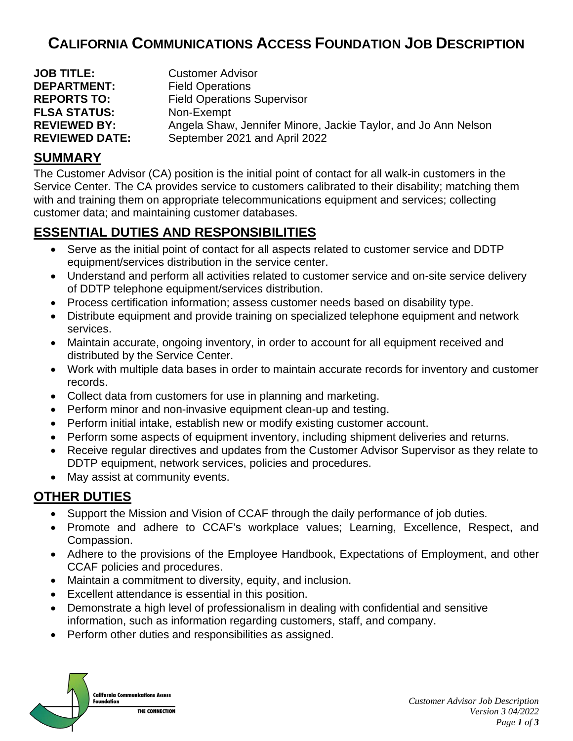# **CALIFORNIA COMMUNICATIONS ACCESS FOUNDATION JOB DESCRIPTION**

| <b>JOB TITLE:</b>     | <b>Customer Advisor</b>                                        |
|-----------------------|----------------------------------------------------------------|
| <b>DEPARTMENT:</b>    | <b>Field Operations</b>                                        |
| <b>REPORTS TO:</b>    | <b>Field Operations Supervisor</b>                             |
| <b>FLSA STATUS:</b>   | Non-Exempt                                                     |
| <b>REVIEWED BY:</b>   | Angela Shaw, Jennifer Minore, Jackie Taylor, and Jo Ann Nelson |
| <b>REVIEWED DATE:</b> | September 2021 and April 2022                                  |

### **SUMMARY**

The Customer Advisor (CA) position is the initial point of contact for all walk-in customers in the Service Center. The CA provides service to customers calibrated to their disability; matching them with and training them on appropriate telecommunications equipment and services; collecting customer data; and maintaining customer databases.

## **ESSENTIAL DUTIES AND RESPONSIBILITIES**

- Serve as the initial point of contact for all aspects related to customer service and DDTP equipment/services distribution in the service center.
- Understand and perform all activities related to customer service and on-site service delivery of DDTP telephone equipment/services distribution.
- Process certification information; assess customer needs based on disability type.
- Distribute equipment and provide training on specialized telephone equipment and network services.
- Maintain accurate, ongoing inventory, in order to account for all equipment received and distributed by the Service Center.
- Work with multiple data bases in order to maintain accurate records for inventory and customer records.
- Collect data from customers for use in planning and marketing.
- Perform minor and non-invasive equipment clean-up and testing.
- Perform initial intake, establish new or modify existing customer account.
- Perform some aspects of equipment inventory, including shipment deliveries and returns.
- Receive regular directives and updates from the Customer Advisor Supervisor as they relate to DDTP equipment, network services, policies and procedures.
- May assist at community events.

# **OTHER DUTIES**

- Support the Mission and Vision of CCAF through the daily performance of job duties.
- Promote and adhere to CCAF's workplace values; Learning, Excellence, Respect, and Compassion.
- Adhere to the provisions of the Employee Handbook, Expectations of Employment, and other CCAF policies and procedures.
- Maintain a commitment to diversity, equity, and inclusion.
- Excellent attendance is essential in this position.
- Demonstrate a high level of professionalism in dealing with confidential and sensitive information, such as information regarding customers, staff, and company.
- Perform other duties and responsibilities as assigned.

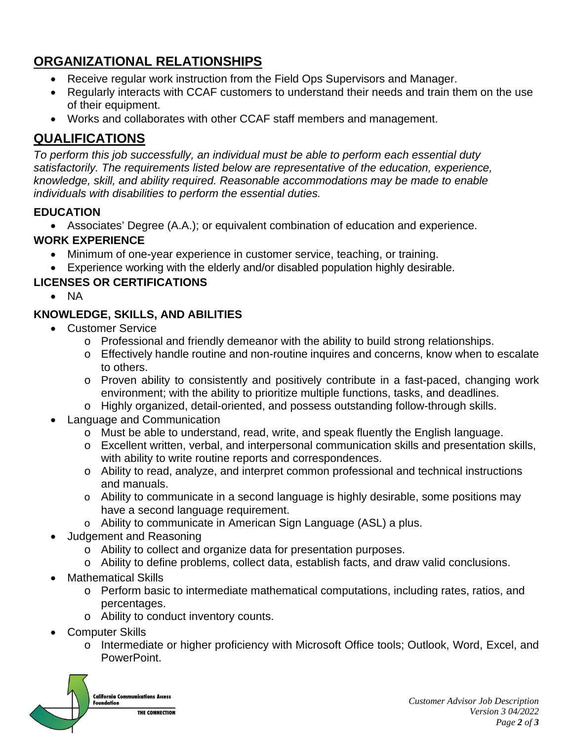# **ORGANIZATIONAL RELATIONSHIPS**

- Receive regular work instruction from the Field Ops Supervisors and Manager.
- Regularly interacts with CCAF customers to understand their needs and train them on the use of their equipment.
- Works and collaborates with other CCAF staff members and management.

# **QUALIFICATIONS**

*To perform this job successfully, an individual must be able to perform each essential duty satisfactorily. The requirements listed below are representative of the education, experience, knowledge, skill, and ability required. Reasonable accommodations may be made to enable individuals with disabilities to perform the essential duties.*

#### **EDUCATION**

• Associates' Degree (A.A.); or equivalent combination of education and experience.

#### **WORK EXPERIENCE**

- Minimum of one-year experience in customer service, teaching, or training.
- Experience working with the elderly and/or disabled population highly desirable.

#### **LICENSES OR CERTIFICATIONS**

• NA

### **KNOWLEDGE, SKILLS, AND ABILITIES**

- Customer Service
	- o Professional and friendly demeanor with the ability to build strong relationships.
	- o Effectively handle routine and non-routine inquires and concerns, know when to escalate to others.
	- o Proven ability to consistently and positively contribute in a fast-paced, changing work environment; with the ability to prioritize multiple functions, tasks, and deadlines.
	- o Highly organized, detail-oriented, and possess outstanding follow-through skills.
- Language and Communication
	- o Must be able to understand, read, write, and speak fluently the English language.
	- o Excellent written, verbal, and interpersonal communication skills and presentation skills, with ability to write routine reports and correspondences.
	- o Ability to read, analyze, and interpret common professional and technical instructions and manuals.
	- $\circ$  Ability to communicate in a second language is highly desirable, some positions may have a second language requirement.
	- o Ability to communicate in American Sign Language (ASL) a plus.
- Judgement and Reasoning
	- o Ability to collect and organize data for presentation purposes.
	- o Ability to define problems, collect data, establish facts, and draw valid conclusions.
- Mathematical Skills
	- o Perform basic to intermediate mathematical computations, including rates, ratios, and percentages.
	- o Ability to conduct inventory counts.
- Computer Skills
	- o Intermediate or higher proficiency with Microsoft Office tools; Outlook, Word, Excel, and PowerPoint.